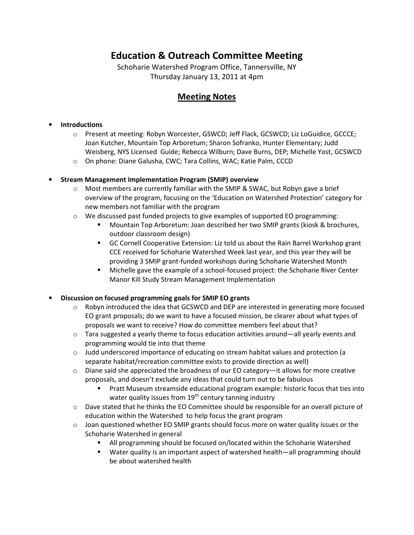# Education & Outreach Committee Meeting

Schoharie Watershed Program Office, Tannersville, NY Thursday January 13, 2011 at 4pm

## Meeting Notes

### **Introductions**

- o Present at meeting: Robyn Worcester, GSWCD; Jeff Flack, GCSWCD; Liz LoGuidice, GCCCE; Joan Kutcher, Mountain Top Arboretum; Sharon Sofranko, Hunter Elementary; Judd Weisberg, NYS Licensed Guide; Rebecca Wilburn; Dave Burns, DEP; Michelle Yost, GCSWCD
- o On phone: Diane Galusha, CWC; Tara Collins, WAC; Katie Palm, CCCD

### • Stream Management Implementation Program (SMIP) overview

- $\circ$  Most members are currently familiar with the SMIP & SWAC, but Robyn gave a brief overview of the program, focusing on the 'Education on Watershed Protection' category for new members not familiar with the program
- $\circ$  We discussed past funded projects to give examples of supported EO programming:
	- Mountain Top Arboretum: Joan described her two SMIP grants (kiosk & brochures, outdoor classroom design)
	- GC Cornell Cooperative Extension: Liz told us about the Rain Barrel Workshop grant CCE received for Schoharie Watershed Week last year, and this year they will be providing 3 SMIP grant-funded workshops during Schoharie Watershed Month
	- Michelle gave the example of a school-focused project: the Schoharie River Center Manor Kill Study Stream Management Implementation

#### • Discussion on focused programming goals for SMIP EO grants

- $\circ$  Robyn introduced the idea that GCSWCD and DEP are interested in generating more focused EO grant proposals; do we want to have a focused mission, be clearer about what types of proposals we want to receive? How do committee members feel about that?
- $\circ$  Tara suggested a yearly theme to focus education activities around—all yearly events and programming would tie into that theme
- $\circ$  Judd underscored importance of educating on stream habitat values and protection (a separate habitat/recreation committee exists to provide direction as well)
- $\circ$  Diane said she appreciated the broadness of our EO category—it allows for more creative proposals, and doesn't exclude any ideas that could turn out to be fabulous
	- **Pratt Museum streamside educational program example: historic focus that ties into** water quality issues from  $19<sup>th</sup>$  century tanning industry
- o Dave stated that he thinks the EO Committee should be responsible for an overall picture of education within the Watershed to help focus the grant program
- $\circ$  Joan questioned whether EO SMIP grants should focus more on water quality issues or the Schoharie Watershed in general
	- All programming should be focused on/located within the Schoharie Watershed
	- Water quality is an important aspect of watershed health—all programming should be about watershed health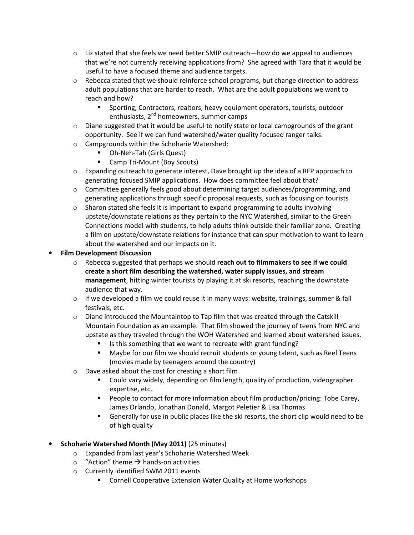- $\circ$  Liz stated that she feels we need better SMIP outreach—how do we appeal to audiences that we're not currently receiving applications from? She agreed with Tara that it would be useful to have a focused theme and audience targets.
- $\circ$  Rebecca stated that we should reinforce school programs, but change direction to address adult populations that are harder to reach. What are the adult populations we want to reach and how?
	- Sporting, Contractors, realtors, heavy equipment operators, tourists, outdoor enthusiasts, 2<sup>nd</sup> homeowners, summer camps
- $\circ$  Diane suggested that it would be useful to notify state or local campgrounds of the grant opportunity. See if we can fund watershed/water quality focused ranger talks.
- o Campgrounds within the Schoharie Watershed:
	- Oh-Neh-Tah (Girls Quest)
	- Camp Tri-Mount (Boy Scouts)
- $\circ$  Expanding outreach to generate interest, Dave brought up the idea of a RFP approach to generating focused SMIP applications. How does committee feel about that?
- $\circ$  Committee generally feels good about determining target audiences/programming, and generating applications through specific proposal requests, such as focusing on tourists
- $\circ$  Sharon stated she feels it is important to expand programming to adults involving upstate/downstate relations as they pertain to the NYC Watershed, similar to the Green Connections model with students, to help adults think outside their familiar zone. Creating a film on upstate/downstate relations for instance that can spur motivation to want to learn about the watershed and our impacts on it.
- Film Development Discussion
	- $\circ$  Rebecca suggested that perhaps we should reach out to filmmakers to see if we could create a short film describing the watershed, water supply issues, and stream management, hitting winter tourists by playing it at ski resorts, reaching the downstate audience that way.
	- $\circ$  If we developed a film we could reuse it in many ways: website, trainings, summer & fall festivals, etc.
	- $\circ$  Diane introduced the Mountaintop to Tap film that was created through the Catskill Mountain Foundation as an example. That film showed the journey of teens from NYC and upstate as they traveled through the WOH Watershed and learned about watershed issues.
		- Is this something that we want to recreate with grant funding?
		- **Maybe for our film we should recruit students or young talent, such as Reel Teens** (movies made by teenagers around the country)
	- o Dave asked about the cost for creating a short film
		- Could vary widely, depending on film length, quality of production, videographer expertise, etc.
		- People to contact for more information about film production/pricing: Tobe Carey, James Orlando, Jonathan Donald, Margot Peletier & Lisa Thomas
		- Generally for use in public places like the ski resorts, the short clip would need to be of high quality
- Schoharie Watershed Month (May 2011) (25 minutes)
	- o Expanded from last year's Schoharie Watershed Week
	- $\circ$  "Action" theme  $\rightarrow$  hands-on activities
	- o Currently identified SWM 2011 events
		- **E** Cornell Cooperative Extension Water Quality at Home workshops